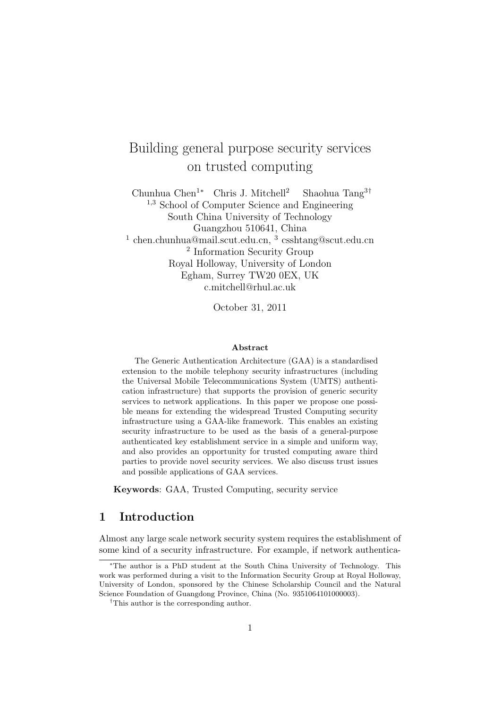# Building general purpose security services on trusted computing

Chunhua Chen<sup>1</sup><sup>∗</sup> Chris J. Mitchell<sup>2</sup> Shaohua Tang<sup>3</sup>† <sup>1</sup>,<sup>3</sup> School of Computer Science and Engineering South China University of Technology Guangzhou 510641, China <sup>1</sup> chen.chunhua@mail.scut.edu.cn, <sup>3</sup> csshtang@scut.edu.cn 2 Information Security Group Royal Holloway, University of London Egham, Surrey TW20 0EX, UK c.mitchell@rhul.ac.uk

October 31, 2011

#### Abstract

The Generic Authentication Architecture (GAA) is a standardised extension to the mobile telephony security infrastructures (including the Universal Mobile Telecommunications System (UMTS) authentication infrastructure) that supports the provision of generic security services to network applications. In this paper we propose one possible means for extending the widespread Trusted Computing security infrastructure using a GAA-like framework. This enables an existing security infrastructure to be used as the basis of a general-purpose authenticated key establishment service in a simple and uniform way, and also provides an opportunity for trusted computing aware third parties to provide novel security services. We also discuss trust issues and possible applications of GAA services.

Keywords: GAA, Trusted Computing, security service

# 1 Introduction

Almost any large scale network security system requires the establishment of some kind of a security infrastructure. For example, if network authentica-

<sup>∗</sup>The author is a PhD student at the South China University of Technology. This work was performed during a visit to the Information Security Group at Royal Holloway, University of London, sponsored by the Chinese Scholarship Council and the Natural Science Foundation of Guangdong Province, China (No. 9351064101000003).

<sup>†</sup>This author is the corresponding author.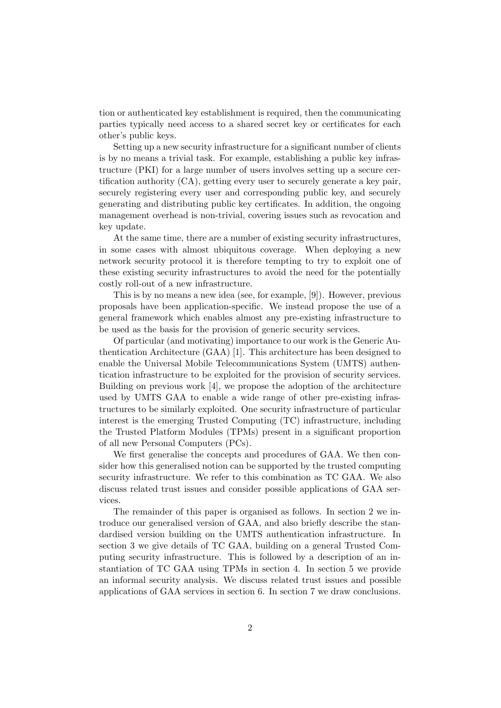tion or authenticated key establishment is required, then the communicating parties typically need access to a shared secret key or certificates for each other's public keys.

Setting up a new security infrastructure for a significant number of clients is by no means a trivial task. For example, establishing a public key infrastructure (PKI) for a large number of users involves setting up a secure certification authority (CA), getting every user to securely generate a key pair, securely registering every user and corresponding public key, and securely generating and distributing public key certificates. In addition, the ongoing management overhead is non-trivial, covering issues such as revocation and key update.

At the same time, there are a number of existing security infrastructures, in some cases with almost ubiquitous coverage. When deploying a new network security protocol it is therefore tempting to try to exploit one of these existing security infrastructures to avoid the need for the potentially costly roll-out of a new infrastructure.

This is by no means a new idea (see, for example, [9]). However, previous proposals have been application-specific. We instead propose the use of a general framework which enables almost any pre-existing infrastructure to be used as the basis for the provision of generic security services.

Of particular (and motivating) importance to our work is the Generic Authentication Architecture (GAA) [1]. This architecture has been designed to enable the Universal Mobile Telecommunications System (UMTS) authentication infrastructure to be exploited for the provision of security services. Building on previous work [4], we propose the adoption of the architecture used by UMTS GAA to enable a wide range of other pre-existing infrastructures to be similarly exploited. One security infrastructure of particular interest is the emerging Trusted Computing (TC) infrastructure, including the Trusted Platform Modules (TPMs) present in a significant proportion of all new Personal Computers (PCs).

We first generalise the concepts and procedures of GAA. We then consider how this generalised notion can be supported by the trusted computing security infrastructure. We refer to this combination as TC GAA. We also discuss related trust issues and consider possible applications of GAA services.

The remainder of this paper is organised as follows. In section 2 we introduce our generalised version of GAA, and also briefly describe the standardised version building on the UMTS authentication infrastructure. In section 3 we give details of TC GAA, building on a general Trusted Computing security infrastructure. This is followed by a description of an instantiation of TC GAA using TPMs in section 4. In section 5 we provide an informal security analysis. We discuss related trust issues and possible applications of GAA services in section 6. In section 7 we draw conclusions.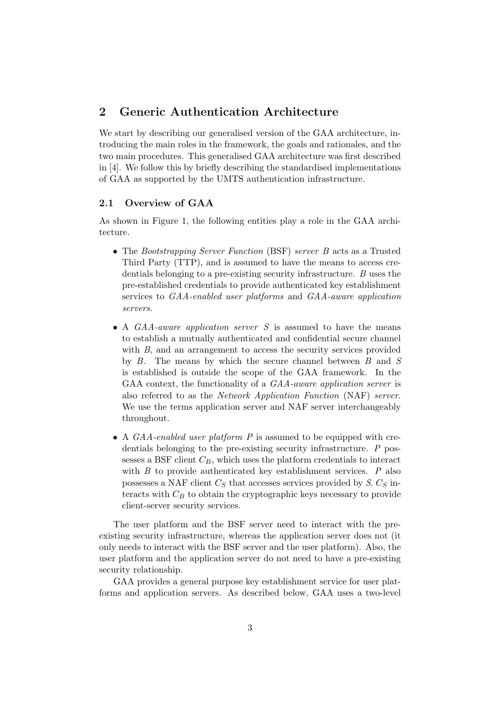## 2 Generic Authentication Architecture

We start by describing our generalised version of the GAA architecture, introducing the main roles in the framework, the goals and rationales, and the two main procedures. This generalised GAA architecture was first described in [4]. We follow this by briefly describing the standardised implementations of GAA as supported by the UMTS authentication infrastructure.

### 2.1 Overview of GAA

As shown in Figure 1, the following entities play a role in the GAA architecture.

- The *Bootstrapping Server Function* (BSF) server B acts as a Trusted Third Party (TTP), and is assumed to have the means to access credentials belonging to a pre-existing security infrastructure. B uses the pre-established credentials to provide authenticated key establishment services to GAA-enabled user platforms and GAA-aware application servers.
- A  $GAA$ -aware application server S is assumed to have the means to establish a mutually authenticated and confidential secure channel with B, and an arrangement to access the security services provided by  $B$ . The means by which the secure channel between  $B$  and  $S$ is established is outside the scope of the GAA framework. In the GAA context, the functionality of a *GAA-aware application server* is also referred to as the Network Application Function (NAF) server. We use the terms application server and NAF server interchangeably throughout.
- A  $GAA$ -enabled user platform  $P$  is assumed to be equipped with credentials belonging to the pre-existing security infrastructure. P possesses a BSF client  $C_B$ , which uses the platform credentials to interact with  $B$  to provide authenticated key establishment services.  $P$  also possesses a NAF client  $C_S$  that accesses services provided by S.  $C_S$  interacts with  $C_B$  to obtain the cryptographic keys necessary to provide client-server security services.

The user platform and the BSF server need to interact with the preexisting security infrastructure, whereas the application server does not (it only needs to interact with the BSF server and the user platform). Also, the user platform and the application server do not need to have a pre-existing security relationship.

GAA provides a general purpose key establishment service for user platforms and application servers. As described below, GAA uses a two-level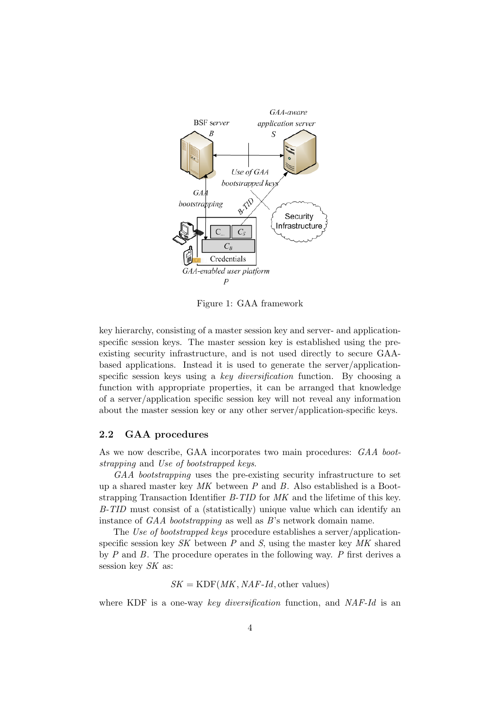

Figure 1: GAA framework

key hierarchy, consisting of a master session key and server- and applicationspecific session keys. The master session key is established using the preexisting security infrastructure, and is not used directly to secure GAAbased applications. Instead it is used to generate the server/applicationspecific session keys using a *key diversification* function. By choosing a function with appropriate properties, it can be arranged that knowledge of a server/application specific session key will not reveal any information about the master session key or any other server/application-specific keys.

#### 2.2 GAA procedures

As we now describe, GAA incorporates two main procedures: GAA bootstrapping and Use of bootstrapped keys.

GAA bootstrapping uses the pre-existing security infrastructure to set up a shared master key  $MK$  between  $P$  and  $B$ . Also established is a Bootstrapping Transaction Identifier B-TID for MK and the lifetime of this key. B-TID must consist of a (statistically) unique value which can identify an instance of GAA bootstrapping as well as B's network domain name.

The Use of bootstrapped keys procedure establishes a server/applicationspecific session key  $SK$  between P and S, using the master key  $MK$  shared by  $P$  and  $B$ . The procedure operates in the following way.  $P$  first derives a session key SK as:

 $SK = KDF(MK, NAF-Id,$  other values)

where KDF is a one-way key diversification function, and NAF-Id is an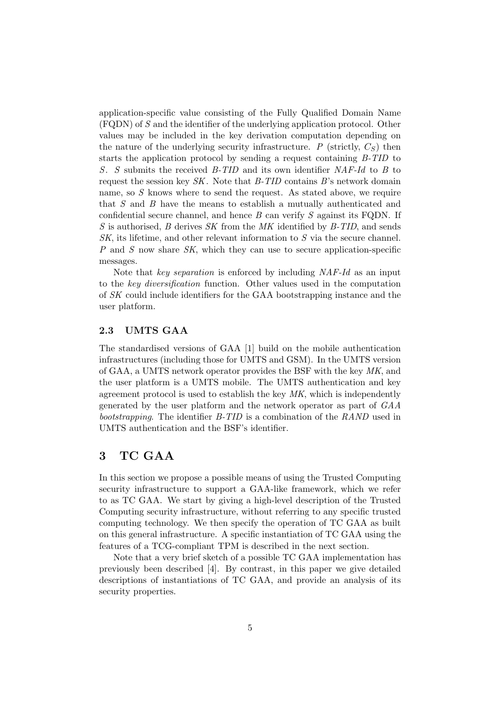application-specific value consisting of the Fully Qualified Domain Name (FQDN) of S and the identifier of the underlying application protocol. Other values may be included in the key derivation computation depending on the nature of the underlying security infrastructure.  $P$  (strictly,  $C_S$ ) then starts the application protocol by sending a request containing B-TID to S. S submits the received B-TID and its own identifier NAF-Id to B to request the session key  $SK$ . Note that  $B-TID$  contains B's network domain name, so S knows where to send the request. As stated above, we require that S and B have the means to establish a mutually authenticated and confidential secure channel, and hence  $B$  can verify  $S$  against its FQDN. If S is authorised, B derives SK from the  $MK$  identified by B-TID, and sends SK, its lifetime, and other relevant information to S via the secure channel. P and S now share SK, which they can use to secure application-specific messages.

Note that key separation is enforced by including NAF-Id as an input to the key diversification function. Other values used in the computation of SK could include identifiers for the GAA bootstrapping instance and the user platform.

### 2.3 UMTS GAA

The standardised versions of GAA [1] build on the mobile authentication infrastructures (including those for UMTS and GSM). In the UMTS version of GAA, a UMTS network operator provides the BSF with the key MK, and the user platform is a UMTS mobile. The UMTS authentication and key agreement protocol is used to establish the key  $MK$ , which is independently generated by the user platform and the network operator as part of GAA bootstrapping. The identifier B-TID is a combination of the RAND used in UMTS authentication and the BSF's identifier.

# 3 TC GAA

In this section we propose a possible means of using the Trusted Computing security infrastructure to support a GAA-like framework, which we refer to as TC GAA. We start by giving a high-level description of the Trusted Computing security infrastructure, without referring to any specific trusted computing technology. We then specify the operation of TC GAA as built on this general infrastructure. A specific instantiation of TC GAA using the features of a TCG-compliant TPM is described in the next section.

Note that a very brief sketch of a possible TC GAA implementation has previously been described [4]. By contrast, in this paper we give detailed descriptions of instantiations of TC GAA, and provide an analysis of its security properties.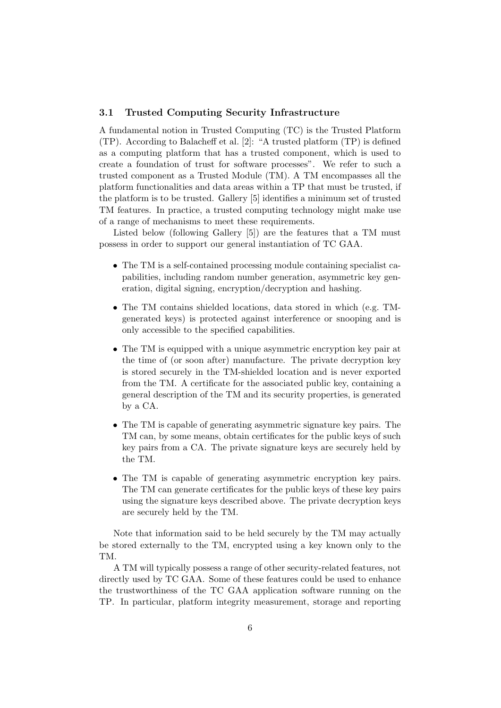#### 3.1 Trusted Computing Security Infrastructure

A fundamental notion in Trusted Computing (TC) is the Trusted Platform (TP). According to Balacheff et al. [2]: "A trusted platform (TP) is defined as a computing platform that has a trusted component, which is used to create a foundation of trust for software processes". We refer to such a trusted component as a Trusted Module (TM). A TM encompasses all the platform functionalities and data areas within a TP that must be trusted, if the platform is to be trusted. Gallery [5] identifies a minimum set of trusted TM features. In practice, a trusted computing technology might make use of a range of mechanisms to meet these requirements.

Listed below (following Gallery [5]) are the features that a TM must possess in order to support our general instantiation of TC GAA.

- The TM is a self-contained processing module containing specialist capabilities, including random number generation, asymmetric key generation, digital signing, encryption/decryption and hashing.
- The TM contains shielded locations, data stored in which (e.g. TMgenerated keys) is protected against interference or snooping and is only accessible to the specified capabilities.
- The TM is equipped with a unique asymmetric encryption key pair at the time of (or soon after) manufacture. The private decryption key is stored securely in the TM-shielded location and is never exported from the TM. A certificate for the associated public key, containing a general description of the TM and its security properties, is generated by a CA.
- The TM is capable of generating asymmetric signature key pairs. The TM can, by some means, obtain certificates for the public keys of such key pairs from a CA. The private signature keys are securely held by the TM.
- The TM is capable of generating asymmetric encryption key pairs. The TM can generate certificates for the public keys of these key pairs using the signature keys described above. The private decryption keys are securely held by the TM.

Note that information said to be held securely by the TM may actually be stored externally to the TM, encrypted using a key known only to the TM.

A TM will typically possess a range of other security-related features, not directly used by TC GAA. Some of these features could be used to enhance the trustworthiness of the TC GAA application software running on the TP. In particular, platform integrity measurement, storage and reporting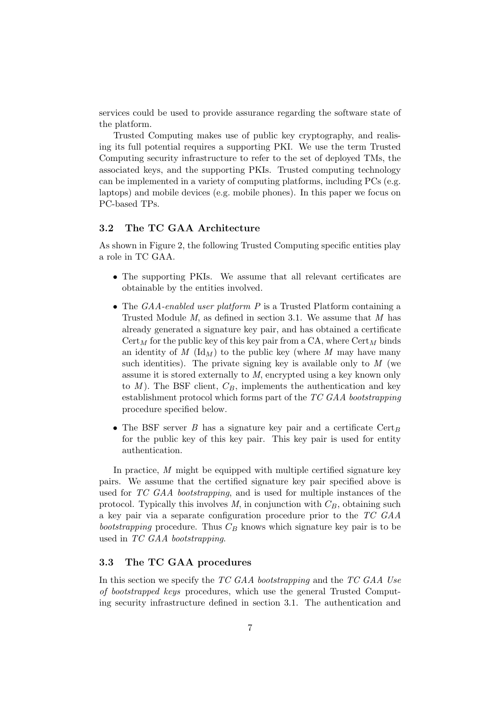services could be used to provide assurance regarding the software state of the platform.

Trusted Computing makes use of public key cryptography, and realising its full potential requires a supporting PKI. We use the term Trusted Computing security infrastructure to refer to the set of deployed TMs, the associated keys, and the supporting PKIs. Trusted computing technology can be implemented in a variety of computing platforms, including PCs (e.g. laptops) and mobile devices (e.g. mobile phones). In this paper we focus on PC-based TPs.

#### 3.2 The TC GAA Architecture

As shown in Figure 2, the following Trusted Computing specific entities play a role in TC GAA.

- The supporting PKIs. We assume that all relevant certificates are obtainable by the entities involved.
- The GAA-enabled user platform P is a Trusted Platform containing a Trusted Module M, as defined in section 3.1. We assume that M has already generated a signature key pair, and has obtained a certificate  $Cert_M$  for the public key of this key pair from a CA, where  $Cert_M$  binds an identity of  $M$  (Id<sub>M</sub>) to the public key (where  $M$  may have many such identities). The private signing key is available only to  $M$  (we assume it is stored externally to M, encrypted using a key known only to  $M$ ). The BSF client,  $C_B$ , implements the authentication and key establishment protocol which forms part of the TC GAA bootstrapping procedure specified below.
- The BSF server B has a signature key pair and a certificate  $\text{Cert}_B$ for the public key of this key pair. This key pair is used for entity authentication.

In practice, M might be equipped with multiple certified signature key pairs. We assume that the certified signature key pair specified above is used for TC GAA bootstrapping, and is used for multiple instances of the protocol. Typically this involves  $M$ , in conjunction with  $C_B$ , obtaining such a key pair via a separate configuration procedure prior to the TC GAA *bootstrapping* procedure. Thus  $C_B$  knows which signature key pair is to be used in TC GAA bootstrapping.

#### 3.3 The TC GAA procedures

In this section we specify the TC GAA bootstrapping and the TC GAA Use of bootstrapped keys procedures, which use the general Trusted Computing security infrastructure defined in section 3.1. The authentication and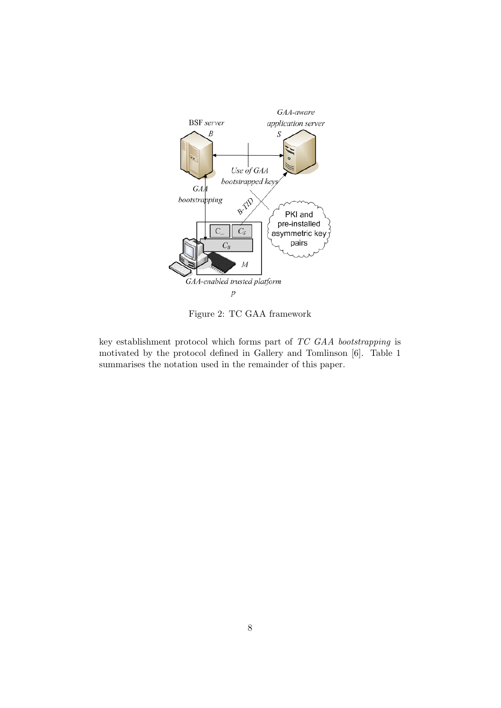

Figure 2: TC GAA framework

key establishment protocol which forms part of TC GAA bootstrapping is motivated by the protocol defined in Gallery and Tomlinson [6]. Table 1 summarises the notation used in the remainder of this paper.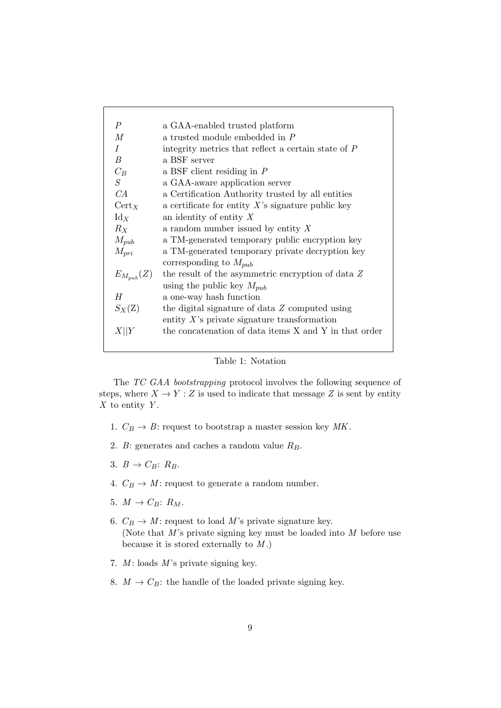| $\boldsymbol{P}$  |                                                       |
|-------------------|-------------------------------------------------------|
|                   | a GAA-enabled trusted platform                        |
| M                 | a trusted module embedded in P                        |
| $\overline{I}$    | integrity metrics that reflect a certain state of P   |
| B                 | a BSF server                                          |
| $C_B$             | a BSF client residing in $P$                          |
| S                 | a GAA-aware application server                        |
| CA                | a Certification Authority trusted by all entities     |
| $\text{Cert}_X$   | a certificate for entity $X$ 's signature public key  |
| $\mathrm{Id}_X$   | an identity of entity $X$                             |
| $R_X$             | a random number issued by entity $X$                  |
| $M_{pub}$         | a TM-generated temporary public encryption key        |
| $M_{pri}$         | a TM-generated temporary private decryption key       |
|                   | corresponding to $M_{pub}$                            |
| $E_{M_{pub}}(Z)$  | the result of the asymmetric encryption of data Z     |
|                   | using the public key $M_{pub}$                        |
| H                 | a one-way hash function                               |
| $S_X(\mathbf{Z})$ | the digital signature of data Z computed using        |
|                   | entity $X$ 's private signature transformation        |
| X  Y              | the concatenation of data items X and Y in that order |
|                   |                                                       |

#### Table 1: Notation

The TC GAA bootstrapping protocol involves the following sequence of steps, where  $X \to Y : Z$  is used to indicate that message Z is sent by entity  $X$  to entity  $Y$ .

- 1.  $C_B \rightarrow B$ : request to bootstrap a master session key MK.
- 2. B: generates and caches a random value  $R_B$ .
- 3.  $B \rightarrow C_B$ :  $R_B$ .
- 4.  $C_B \rightarrow M$ : request to generate a random number.
- 5.  $M \rightarrow C_B$ :  $R_M$ .
- 6.  $C_B \rightarrow M$ : request to load M's private signature key. (Note that  $M$ 's private signing key must be loaded into  $M$  before use because it is stored externally to  $M$ .)
- 7.  $M$ : loads  $M$ 's private signing key.
- 8.  $M \rightarrow C_B$ : the handle of the loaded private signing key.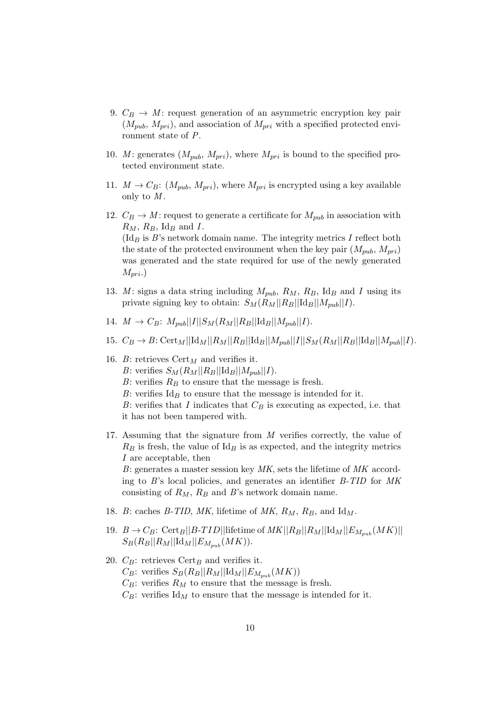- 9.  $C_B \rightarrow M$ : request generation of an asymmetric encryption key pair  $(M_{pub}, M_{pri})$ , and association of  $M_{pri}$  with a specified protected environment state of P.
- 10. M: generates  $(M_{pub}, M_{pri})$ , where  $M_{pri}$  is bound to the specified protected environment state.
- 11.  $M \to C_B$ :  $(M_{pub}, M_{pri})$ , where  $M_{pri}$  is encrypted using a key available only to  $M$ .
- 12.  $C_B \rightarrow M$ : request to generate a certificate for  $M_{pub}$  in association with  $R_M$ ,  $R_B$ , Id<sub>B</sub> and I.  $(\mathrm{Id}_B$  is B's network domain name. The integrity metrics I reflect both the state of the protected environment when the key pair  $(M_{pub}, M_{pri})$ was generated and the state required for use of the newly generated  $M_{pri}$ .)
- 13. M: signs a data string including  $M_{m\nu}$ ,  $R_M$ ,  $R_B$ , Id<sub>B</sub> and I using its private signing key to obtain:  $S_M(R_M||R_B||\mathrm{Id}_B||M_{pub}||I)$ .
- 14.  $M \to C_B$ :  $M_{mub}||I||S_M(R_M||R_B||\text{Id}_B||M_{mub}||I)$ .
- 15.  $C_B \to B: \text{Cert}_M || \text{Id}_M || R_M || R_B || \text{Id}_B || M_{pub} || I || S_M (R_M || R_B || \text{Id}_B || M_{pub} || I).$

#### 16. B: retrieves  $\text{Cert}_M$  and verifies it.

- B: verifies  $S_M(R_M||R_B||\mathrm{Id}_B||M_{pub}||I).$
- $B:$  verifies  $R_B$  to ensure that the message is fresh.
- B: verifies  $\mathrm{Id}_B$  to ensure that the message is intended for it.

B: verifies that I indicates that  $C_B$  is executing as expected, i.e. that it has not been tampered with.

17. Assuming that the signature from M verifies correctly, the value of  $R_B$  is fresh, the value of Id<sub>B</sub> is as expected, and the integrity metrics I are acceptable, then

B: generates a master session key MK, sets the lifetime of MK according to  $B$ 's local policies, and generates an identifier  $B-TID$  for  $MK$ consisting of  $R_M$ ,  $R_B$  and  $B$ 's network domain name.

- 18. B: caches B-TID, MK, lifetime of MK,  $R_M$ ,  $R_B$ , and  $\mathrm{Id}_M$ .
- 19.  $B \to C_B$ : Cert<sub>B</sub>||B-TID||lifetime of  $MK||R_B||R_M||\text{Id}_M||E_{M_{pub}}(MK)||$  $S_B(R_B||R_M||\text{Id}_M||E_{M_{sub}}(MK)).$
- 20.  $C_B$ : retrieves Cert<sub>B</sub> and verifies it.  $C_B$ : verifies  $S_B(R_B||R_M||\text{Id}_M||E_{M_{sub}}(MK))$  $C_B$ : verifies  $R_M$  to ensure that the message is fresh.  $C_B$ : verifies Id<sub>M</sub> to ensure that the message is intended for it.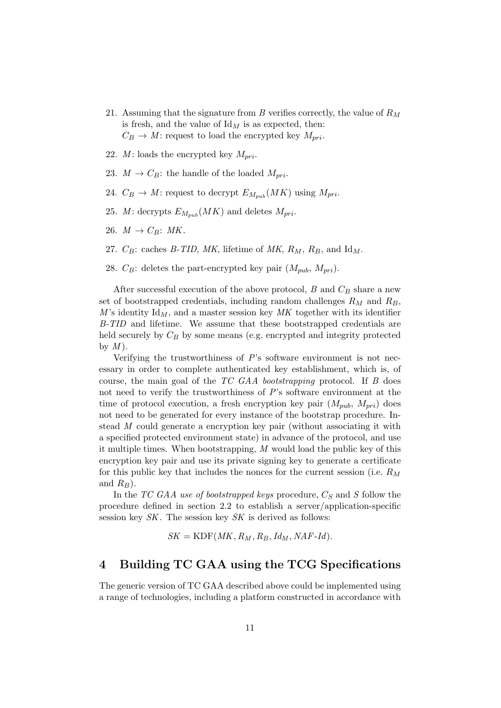- 21. Assuming that the signature from B verifies correctly, the value of  $R_M$ is fresh, and the value of  $\mathrm{Id}_M$  is as expected, then:  $C_B \rightarrow M$ : request to load the encrypted key  $M_{pri}$ .
- 22. M: loads the encrypted key  $M_{pri}$ .
- 23.  $M \rightarrow C_B$ : the handle of the loaded  $M_{pri}$ .
- 24.  $C_B \rightarrow M$ : request to decrypt  $E_{M_{sub}}(MK)$  using  $M_{pri}$ .
- 25. M: decrypts  $E_{M_{pub}}(MK)$  and deletes  $M_{pri}$ .
- 26.  $M \rightarrow C_B$ : MK.
- 27.  $C_B$ : caches B-TID, MK, lifetime of MK,  $R_M$ ,  $R_B$ , and Id<sub>M</sub>.
- 28.  $C_B$ : deletes the part-encrypted key pair  $(M_{pub}, M_{pri})$ .

After successful execution of the above protocol,  $B$  and  $C_B$  share a new set of bootstrapped credentials, including random challenges  $R_M$  and  $R_B$ ,  $M$ 's identity Id<sub>M</sub>, and a master session key  $MK$  together with its identifier B-TID and lifetime. We assume that these bootstrapped credentials are held securely by  $C_B$  by some means (e.g. encrypted and integrity protected by  $M$ ).

Verifying the trustworthiness of P's software environment is not necessary in order to complete authenticated key establishment, which is, of course, the main goal of the TC GAA bootstrapping protocol. If B does not need to verify the trustworthiness of P's software environment at the time of protocol execution, a fresh encryption key pair  $(M_{pub}, M_{pri})$  does not need to be generated for every instance of the bootstrap procedure. Instead M could generate a encryption key pair (without associating it with a specified protected environment state) in advance of the protocol, and use it multiple times. When bootstrapping, M would load the public key of this encryption key pair and use its private signing key to generate a certificate for this public key that includes the nonces for the current session (i.e.  $R_M$ ) and  $R_B$ ).

In the TC GAA use of bootstrapped keys procedure,  $C_S$  and S follow the procedure defined in section 2.2 to establish a server/application-specific session key SK. The session key SK is derived as follows:

$$
SK = \text{KDF}(MK, R_M, R_B, Id_M, NAF-Id).
$$

## 4 Building TC GAA using the TCG Specifications

The generic version of TC GAA described above could be implemented using a range of technologies, including a platform constructed in accordance with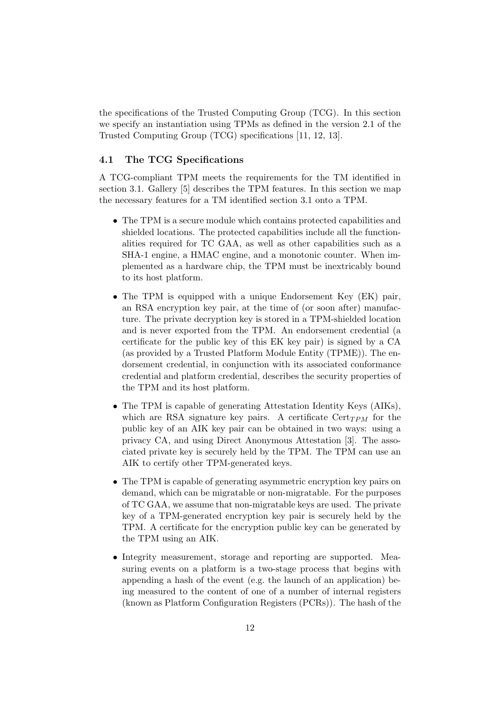the specifications of the Trusted Computing Group (TCG). In this section we specify an instantiation using TPMs as defined in the version 2.1 of the Trusted Computing Group (TCG) specifications [11, 12, 13].

### 4.1 The TCG Specifications

A TCG-compliant TPM meets the requirements for the TM identified in section 3.1. Gallery [5] describes the TPM features. In this section we map the necessary features for a TM identified section 3.1 onto a TPM.

- The TPM is a secure module which contains protected capabilities and shielded locations. The protected capabilities include all the functionalities required for TC GAA, as well as other capabilities such as a SHA-1 engine, a HMAC engine, and a monotonic counter. When implemented as a hardware chip, the TPM must be inextricably bound to its host platform.
- The TPM is equipped with a unique Endorsement Key (EK) pair, an RSA encryption key pair, at the time of (or soon after) manufacture. The private decryption key is stored in a TPM-shielded location and is never exported from the TPM. An endorsement credential (a certificate for the public key of this EK key pair) is signed by a CA (as provided by a Trusted Platform Module Entity (TPME)). The endorsement credential, in conjunction with its associated conformance credential and platform credential, describes the security properties of the TPM and its host platform.
- The TPM is capable of generating Attestation Identity Keys (AIKs), which are RSA signature key pairs. A certificate  $;\text{Cert}_{TPM}$  for the public key of an AIK key pair can be obtained in two ways: using a privacy CA, and using Direct Anonymous Attestation [3]. The associated private key is securely held by the TPM. The TPM can use an AIK to certify other TPM-generated keys.
- The TPM is capable of generating asymmetric encryption key pairs on demand, which can be migratable or non-migratable. For the purposes of TC GAA, we assume that non-migratable keys are used. The private key of a TPM-generated encryption key pair is securely held by the TPM. A certificate for the encryption public key can be generated by the TPM using an AIK.
- Integrity measurement, storage and reporting are supported. Measuring events on a platform is a two-stage process that begins with appending a hash of the event (e.g. the launch of an application) being measured to the content of one of a number of internal registers (known as Platform Configuration Registers (PCRs)). The hash of the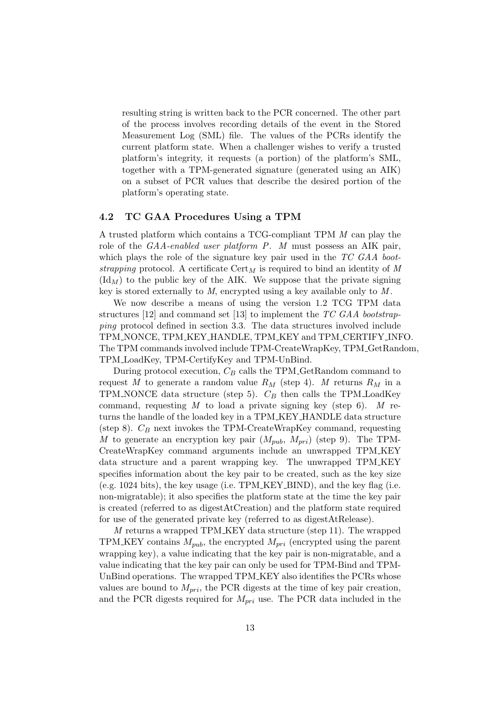resulting string is written back to the PCR concerned. The other part of the process involves recording details of the event in the Stored Measurement Log (SML) file. The values of the PCRs identify the current platform state. When a challenger wishes to verify a trusted platform's integrity, it requests (a portion) of the platform's SML, together with a TPM-generated signature (generated using an AIK) on a subset of PCR values that describe the desired portion of the platform's operating state.

### 4.2 TC GAA Procedures Using a TPM

A trusted platform which contains a TCG-compliant TPM M can play the role of the GAA-enabled user platform P. M must possess an AIK pair, which plays the role of the signature key pair used in the TC GAA bootstrapping protocol. A certificate  $\text{Cert}_M$  is required to bind an identity of M  $(\mathrm{Id}_M)$  to the public key of the AIK. We suppose that the private signing key is stored externally to  $M$ , encrypted using a key available only to  $M$ .

We now describe a means of using the version 1.2 TCG TPM data structures [12] and command set [13] to implement the TC GAA bootstrapping protocol defined in section 3.3. The data structures involved include TPM NONCE, TPM KEY HANDLE, TPM KEY and TPM CERTIFY INFO. The TPM commands involved include TPM-CreateWrapKey, TPM GetRandom, TPM LoadKey, TPM-CertifyKey and TPM-UnBind.

During protocol execution,  $C_B$  calls the TPM GetRandom command to request M to generate a random value  $R_M$  (step 4). M returns  $R_M$  in a TPM\_NONCE data structure (step 5).  $C_B$  then calls the TPM\_LoadKey command, requesting M to load a private signing key (step 6). M returns the handle of the loaded key in a TPM KEY HANDLE data structure (step 8).  $C_B$  next invokes the TPM-CreateWrapKey command, requesting M to generate an encryption key pair  $(M_{pub}, M_{pri})$  (step 9). The TPM-CreateWrapKey command arguments include an unwrapped TPM KEY data structure and a parent wrapping key. The unwrapped TPM KEY specifies information about the key pair to be created, such as the key size (e.g. 1024 bits), the key usage (i.e. TPM KEY BIND), and the key flag (i.e. non-migratable); it also specifies the platform state at the time the key pair is created (referred to as digestAtCreation) and the platform state required for use of the generated private key (referred to as digestAtRelease).

M returns a wrapped TPM KEY data structure (step 11). The wrapped TPM KEY contains  $M_{pub}$ , the encrypted  $M_{pri}$  (encrypted using the parent wrapping key), a value indicating that the key pair is non-migratable, and a value indicating that the key pair can only be used for TPM-Bind and TPM-UnBind operations. The wrapped TPM KEY also identifies the PCRs whose values are bound to  $M_{pri}$ , the PCR digests at the time of key pair creation, and the PCR digests required for  $M_{pri}$  use. The PCR data included in the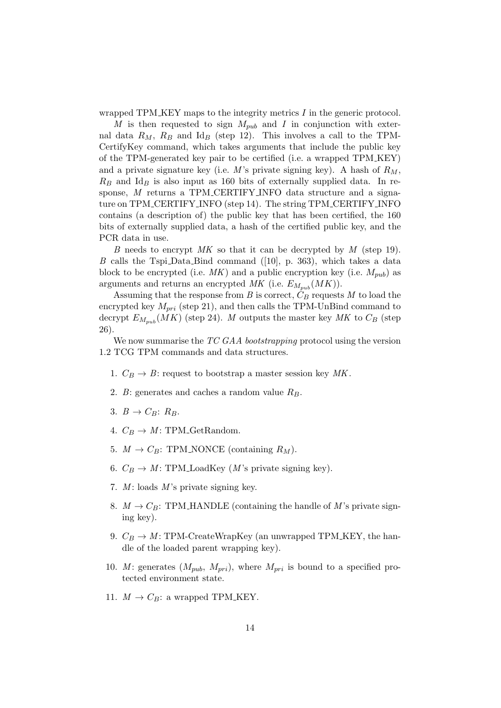wrapped TPM KEY maps to the integrity metrics  $I$  in the generic protocol.

M is then requested to sign  $M_{pub}$  and I in conjunction with external data  $R_M$ ,  $R_B$  and Id<sub>B</sub> (step 12). This involves a call to the TPM-CertifyKey command, which takes arguments that include the public key of the TPM-generated key pair to be certified (i.e. a wrapped TPM KEY) and a private signature key (i.e. M's private signing key). A hash of  $R_M$ ,  $R_B$  and Id<sub>B</sub> is also input as 160 bits of externally supplied data. In response, M returns a TPM\_CERTIFY\_INFO data structure and a signature on TPM CERTIFY INFO (step 14). The string TPM CERTIFY INFO contains (a description of) the public key that has been certified, the 160 bits of externally supplied data, a hash of the certified public key, and the PCR data in use.

B needs to encrypt MK so that it can be decrypted by  $M$  (step 19). B calls the Tspi Data Bind command  $([10], p. 363)$ , which takes a data block to be encrypted (i.e. MK) and a public encryption key (i.e.  $M_{m\nu}$ ) as arguments and returns an encrypted MK (i.e.  $E_{M_{sub}}(MK)$ ).

Assuming that the response from  $B$  is correct,  $C_B$  requests  $M$  to load the encrypted key  $M_{pri}$  (step 21), and then calls the TPM-UnBind command to decrypt  $E_{M_{sub}}(MK)$  (step 24). M outputs the master key MK to  $C_B$  (step 26).

We now summarise the TC GAA bootstrapping protocol using the version 1.2 TCG TPM commands and data structures.

- 1.  $C_B \rightarrow B$ : request to bootstrap a master session key MK.
- 2. B: generates and caches a random value  $R_B$ .
- 3.  $B \rightarrow C_B$ :  $R_B$ .
- 4.  $C_B \rightarrow M$ : TPM\_GetRandom.
- 5.  $M \rightarrow C_B$ : TPM\_NONCE (containing  $R_M$ ).
- 6.  $C_B \rightarrow M$ : TPM\_LoadKey (M's private signing key).
- 7.  $M$ : loads  $M$ 's private signing key.
- 8.  $M \to C_B$ : TPM\_HANDLE (containing the handle of M's private signing key).
- 9.  $C_B \rightarrow M$ : TPM-CreateWrapKey (an unwrapped TPM\_KEY, the handle of the loaded parent wrapping key).
- 10. M: generates  $(M_{pub}, M_{pri})$ , where  $M_{pri}$  is bound to a specified protected environment state.
- 11.  $M \rightarrow C_B$ : a wrapped TPM\_KEY.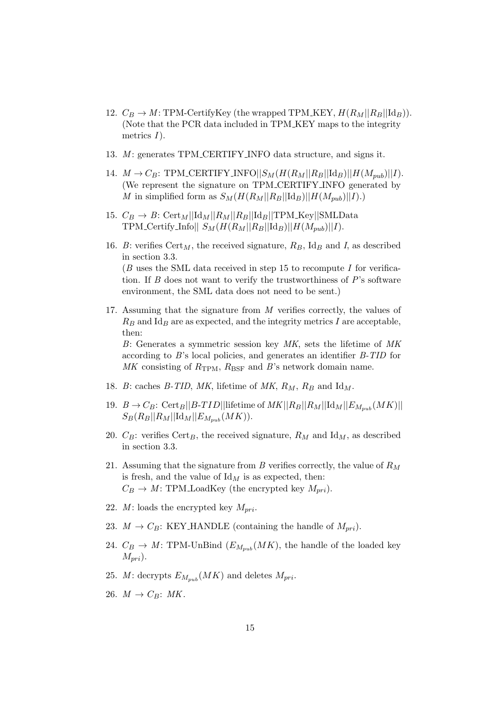- 12.  $C_B \rightarrow M$ : TPM-CertifyKey (the wrapped TPM\_KEY,  $H(R_M||R_B||\mathrm{Id}_B)$ ). (Note that the PCR data included in TPM KEY maps to the integrity metrics  $I$ ).
- 13. M: generates TPM\_CERTIFY\_INFO data structure, and signs it.
- 14.  $M \to C_B$ : TPM\_CERTIFY\_INFO $||S_M(H(R_M||R_B||Id_B)||H(M_{pub})||I)$ . (We represent the signature on TPM CERTIFY INFO generated by M in simplified form as  $S_M(H(R_M||R_B||Id_B)||H(M_{pub})||I).$
- 15.  $C_B \rightarrow B$ : Cert<sub>M</sub>||Id<sub>M</sub>||R<sub>M</sub>||R<sub>B</sub>||Id<sub>B</sub>||TPM\_Key||SMLData TPM\_Certify\_Info $|| S_M(H(R_M||R_B||\mathrm{Id}_B) || H(M_{pub}) || I).$
- 16. B: verifies  $Cert_M$ , the received signature,  $R_B$ , Id<sub>B</sub> and I, as described in section 3.3.  $(B$  uses the SML data received in step 15 to recompute I for verification. If  $B$  does not want to verify the trustworthiness of  $P$ 's software environment, the SML data does not need to be sent.)
- 17. Assuming that the signature from M verifies correctly, the values of  $R_B$  and Id<sub>B</sub> are as expected, and the integrity metrics I are acceptable, then:

 $B$ : Generates a symmetric session key  $MK$ , sets the lifetime of  $MK$ according to B's local policies, and generates an identifier B-TID for MK consisting of  $R_{\text{TPM}}$ ,  $R_{\text{BSF}}$  and B's network domain name.

- 18. B: caches B-TID, MK, lifetime of MK,  $R_M$ ,  $R_B$  and  $\text{Id}_M$ .
- 19.  $B \to C_B$ : Cert<sub>B</sub>||B-TID||lifetime of  $MK||R_B||R_M||\text{Id}_M||E_{M_{pub}}(MK)||$  $S_B(R_B||R_M||\text{Id}_M||E_{M_{sub}}(MK)).$
- 20.  $C_B$ : verifies Cert<sub>B</sub>, the received signature,  $R_M$  and Id<sub>M</sub>, as described in section 3.3.
- 21. Assuming that the signature from B verifies correctly, the value of  $R_M$ is fresh, and the value of  $\mathrm{Id}_M$  is as expected, then:  $C_B \rightarrow M$ : TPM\_LoadKey (the encrypted key  $M_{pri}$ ).
- 22. M: loads the encrypted key  $M_{pri}$ .
- 23.  $M \to C_B$ : KEY\_HANDLE (containing the handle of  $M_{pri}$ ).
- 24.  $C_B \rightarrow M$ : TPM-UnBind  $(E_{M_{pub}}(MK))$ , the handle of the loaded key  $M_{pri}$ ).
- 25. M: decrypts  $E_{M_{sub}}(MK)$  and deletes  $M_{pri}$ .
- 26.  $M \rightarrow C_B$ : MK.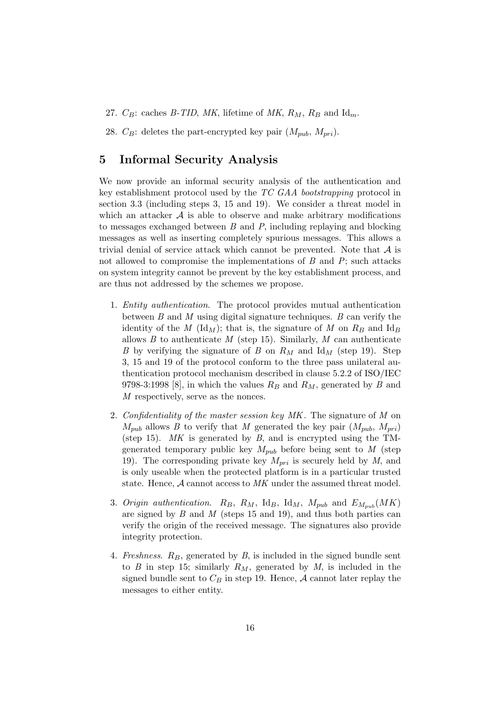27.  $C_B$ : caches *B-TID*, *MK*, lifetime of *MK*,  $R_M$ ,  $R_B$  and  $Id_m$ .

28.  $C_B$ : deletes the part-encrypted key pair  $(M_{pub}, M_{pri})$ .

# 5 Informal Security Analysis

We now provide an informal security analysis of the authentication and key establishment protocol used by the TC GAA bootstrapping protocol in section 3.3 (including steps 3, 15 and 19). We consider a threat model in which an attacker  $A$  is able to observe and make arbitrary modifications to messages exchanged between  $B$  and  $P$ , including replaying and blocking messages as well as inserting completely spurious messages. This allows a trivial denial of service attack which cannot be prevented. Note that  $A$  is not allowed to compromise the implementations of  $B$  and  $P$ ; such attacks on system integrity cannot be prevent by the key establishment process, and are thus not addressed by the schemes we propose.

- 1. Entity authentication. The protocol provides mutual authentication between  $B$  and  $M$  using digital signature techniques.  $B$  can verify the identity of the M (Id<sub>M</sub>); that is, the signature of M on  $R_B$  and Id<sub>B</sub> allows  $B$  to authenticate  $M$  (step 15). Similarly,  $M$  can authenticate B by verifying the signature of B on  $R_M$  and Id<sub>M</sub> (step 19). Step 3, 15 and 19 of the protocol conform to the three pass unilateral authentication protocol mechanism described in clause 5.2.2 of ISO/IEC 9798-3:1998 [8], in which the values  $R_B$  and  $R_M$ , generated by B and M respectively, serve as the nonces.
- 2. Confidentiality of the master session key MK. The signature of M on  $M_{pub}$  allows B to verify that M generated the key pair  $(M_{pub}, M_{pri})$ (step 15).  $MK$  is generated by  $B$ , and is encrypted using the TMgenerated temporary public key  $M_{pub}$  before being sent to M (step 19). The corresponding private key  $M_{pri}$  is securely held by  $M$ , and is only useable when the protected platform is in a particular trusted state. Hence, A cannot access to MK under the assumed threat model.
- 3. Origin authentication.  $R_B$ ,  $R_M$ , Id<sub>B</sub>, Id<sub>M</sub>,  $M_{pub}$  and  $E_{M_{pub}}(MK)$ are signed by  $B$  and  $M$  (steps 15 and 19), and thus both parties can verify the origin of the received message. The signatures also provide integrity protection.
- 4. Freshness.  $R_B$ , generated by  $B$ , is included in the signed bundle sent to B in step 15; similarly  $R_M$ , generated by M, is included in the signed bundle sent to  $C_B$  in step 19. Hence, A cannot later replay the messages to either entity.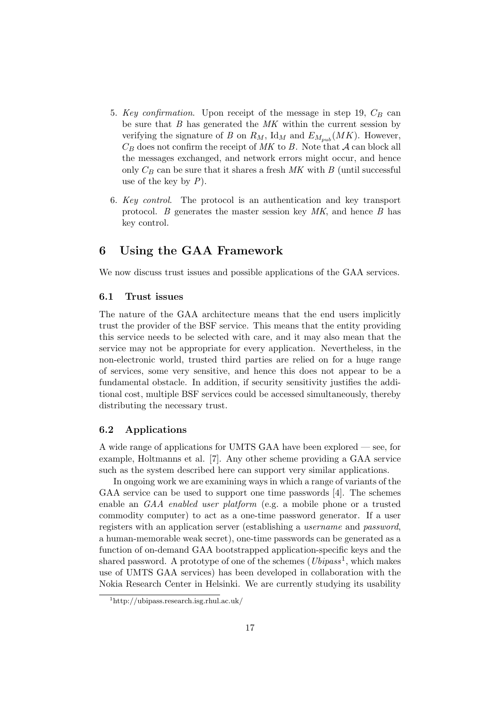- 5. Key confirmation. Upon receipt of the message in step 19,  $C_B$  can be sure that  $B$  has generated the  $MK$  within the current session by verifying the signature of B on  $R_M$ , Id<sub>M</sub> and  $E_{M_{pub}}(MK)$ . However,  $C_B$  does not confirm the receipt of MK to B. Note that  $A$  can block all the messages exchanged, and network errors might occur, and hence only  $C_B$  can be sure that it shares a fresh MK with B (until successful use of the key by  $P$ ).
- 6. Key control. The protocol is an authentication and key transport protocol. B generates the master session key  $MK$ , and hence B has key control.

# 6 Using the GAA Framework

We now discuss trust issues and possible applications of the GAA services.

#### 6.1 Trust issues

The nature of the GAA architecture means that the end users implicitly trust the provider of the BSF service. This means that the entity providing this service needs to be selected with care, and it may also mean that the service may not be appropriate for every application. Nevertheless, in the non-electronic world, trusted third parties are relied on for a huge range of services, some very sensitive, and hence this does not appear to be a fundamental obstacle. In addition, if security sensitivity justifies the additional cost, multiple BSF services could be accessed simultaneously, thereby distributing the necessary trust.

### 6.2 Applications

A wide range of applications for UMTS GAA have been explored — see, for example, Holtmanns et al. [7]. Any other scheme providing a GAA service such as the system described here can support very similar applications.

In ongoing work we are examining ways in which a range of variants of the GAA service can be used to support one time passwords [4]. The schemes enable an GAA enabled user platform (e.g. a mobile phone or a trusted commodity computer) to act as a one-time password generator. If a user registers with an application server (establishing a username and password, a human-memorable weak secret), one-time passwords can be generated as a function of on-demand GAA bootstrapped application-specific keys and the shared password. A prototype of one of the schemes  $(Ubipass<sup>1</sup>,$  which makes use of UMTS GAA services) has been developed in collaboration with the Nokia Research Center in Helsinki. We are currently studying its usability

<sup>1</sup>http://ubipass.research.isg.rhul.ac.uk/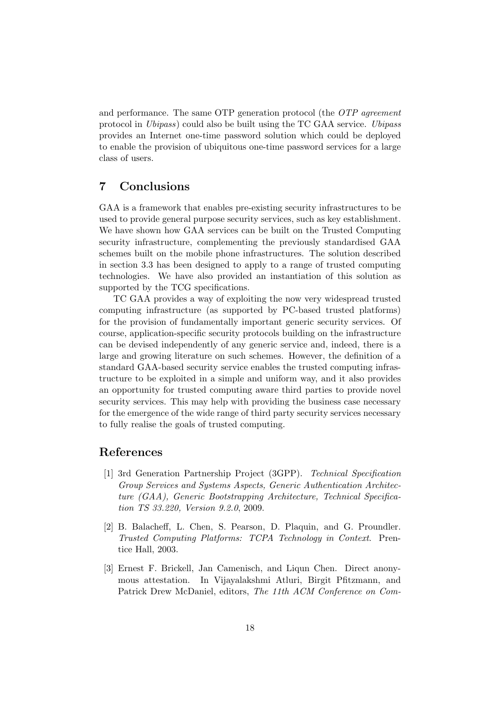and performance. The same OTP generation protocol (the OTP agreement protocol in Ubipass) could also be built using the TC GAA service. Ubipass provides an Internet one-time password solution which could be deployed to enable the provision of ubiquitous one-time password services for a large class of users.

# 7 Conclusions

GAA is a framework that enables pre-existing security infrastructures to be used to provide general purpose security services, such as key establishment. We have shown how GAA services can be built on the Trusted Computing security infrastructure, complementing the previously standardised GAA schemes built on the mobile phone infrastructures. The solution described in section 3.3 has been designed to apply to a range of trusted computing technologies. We have also provided an instantiation of this solution as supported by the TCG specifications.

TC GAA provides a way of exploiting the now very widespread trusted computing infrastructure (as supported by PC-based trusted platforms) for the provision of fundamentally important generic security services. Of course, application-specific security protocols building on the infrastructure can be devised independently of any generic service and, indeed, there is a large and growing literature on such schemes. However, the definition of a standard GAA-based security service enables the trusted computing infrastructure to be exploited in a simple and uniform way, and it also provides an opportunity for trusted computing aware third parties to provide novel security services. This may help with providing the business case necessary for the emergence of the wide range of third party security services necessary to fully realise the goals of trusted computing.

### References

- [1] 3rd Generation Partnership Project (3GPP). Technical Specification Group Services and Systems Aspects, Generic Authentication Architecture (GAA), Generic Bootstrapping Architecture, Technical Specification TS 33.220, Version 9.2.0, 2009.
- [2] B. Balacheff, L. Chen, S. Pearson, D. Plaquin, and G. Proundler. Trusted Computing Platforms: TCPA Technology in Context. Prentice Hall, 2003.
- [3] Ernest F. Brickell, Jan Camenisch, and Liqun Chen. Direct anonymous attestation. In Vijayalakshmi Atluri, Birgit Pfitzmann, and Patrick Drew McDaniel, editors, The 11th ACM Conference on Com-